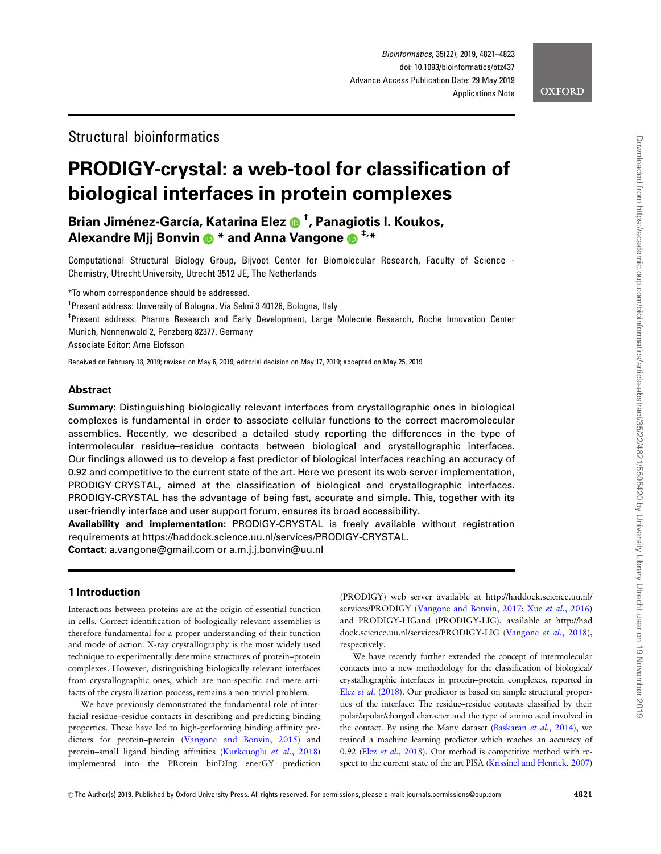# Structural bioinformatics

# PRODIGY-crystal: a web-tool for classification of biological interfaces in protein complexes

Brian Jiménez-García, Katarina Elez @ <sup>†</sup>, Panagiotis I. Koukos, Alexandre Mij Bonvin  $\bullet^*$  and Anna Vangone  $\bullet^{+,*}$ 

Computational Structural Biology Group, Bijvoet Center for Biomolecular Research, Faculty of Science - Chemistry, Utrecht University, Utrecht 3512 JE, The Netherlands

\*To whom correspondence should be addressed.

<sup>†</sup>Present address: University of Bologna, Via Selmi 3 40126, Bologna, Italy

‡ Present address: Pharma Research and Early Development, Large Molecule Research, Roche Innovation Center

Munich, Nonnenwald 2, Penzberg 82377, Germany

Associate Editor: Arne Elofsson

Received on February 18, 2019; revised on May 6, 2019; editorial decision on May 17, 2019; accepted on May 25, 2019

# Abstract

Summary: Distinguishing biologically relevant interfaces from crystallographic ones in biological complexes is fundamental in order to associate cellular functions to the correct macromolecular assemblies. Recently, we described a detailed study reporting the differences in the type of intermolecular residue–residue contacts between biological and crystallographic interfaces. Our findings allowed us to develop a fast predictor of biological interfaces reaching an accuracy of 0.92 and competitive to the current state of the art. Here we present its web-server implementation, PRODIGY-CRYSTAL, aimed at the classification of biological and crystallographic interfaces. PRODIGY-CRYSTAL has the advantage of being fast, accurate and simple. This, together with its user-friendly interface and user support forum, ensures its broad accessibility.

Availability and implementation: PRODIGY-CRYSTAL is freely available without registration requirements at<https://haddock.science.uu.nl/services/PRODIGY-CRYSTAL>.

Contact: a.vangone@gmail.com or a.m.j.j.bonvin@uu.nl

# 1 Introduction

Interactions between proteins are at the origin of essential function in cells. Correct identification of biologically relevant assemblies is therefore fundamental for a proper understanding of their function and mode of action. X-ray crystallography is the most widely used technique to experimentally determine structures of protein–protein complexes. However, distinguishing biologically relevant interfaces from crystallographic ones, which are non-specific and mere artifacts of the crystallization process, remains a non-trivial problem.

We have previously demonstrated the fundamental role of interfacial residue–residue contacts in describing and predicting binding properties. These have led to high-performing binding affinity predictors for protein–protein ([Vangone and Bonvin, 2015\)](#page-2-0) and protein–small ligand binding affinities ([Kurkcuoglu](#page-2-0) et al., 2018) implemented into the PRotein binDIng enerGY prediction (PRODIGY) web server available at [http://haddock.science.uu.nl/](http://haddock.science.uu.nl/services/PRODIGY) [services/PRODIGY](http://haddock.science.uu.nl/services/PRODIGY) ([Vangone and Bonvin, 2017](#page-2-0); Xue et al.[, 2016](#page-2-0)) and PRODIGY-LIGand (PRODIGY-LIG), available at [http://had](http://haddock.science.uu.nl/services/PRODIGY-LIG) [dock.science.uu.nl/services/PRODIGY-LIG](http://haddock.science.uu.nl/services/PRODIGY-LIG) ([Vangone](#page-2-0) et al., 2018), respectively.

We have recently further extended the concept of intermolecular contacts into a new methodology for the classification of biological/ crystallographic interfaces in protein–protein complexes, reported in Elez et al. [\(2018](#page-2-0)). Our predictor is based on simple structural properties of the interface: The residue–residue contacts classified by their polar/apolar/charged character and the type of amino acid involved in the contact. By using the Many dataset [\(Baskaran](#page-2-0) et al., 2014), we trained a machine learning predictor which reaches an accuracy of 0.92 (Elez et al.[, 2018\)](#page-2-0). Our method is competitive method with respect to the current state of the art PISA [\(Krissinel and Henrick, 2007](#page-2-0))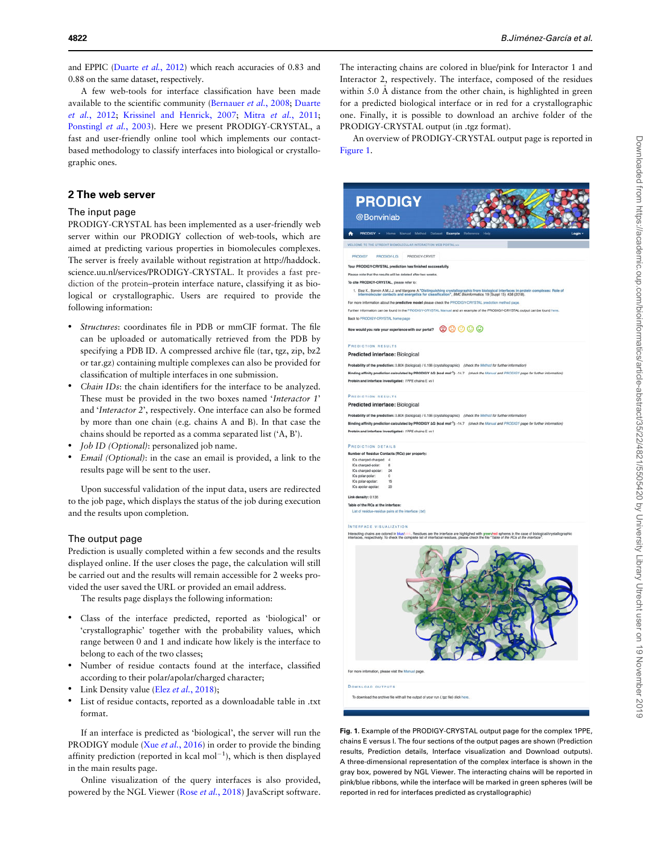and EPPIC [\(Duarte](#page-2-0) et al., 2012) which reach accuracies of 0.83 and 0.88 on the same dataset, respectively.

A few web-tools for interface classification have been made available to the scientific community ([Bernauer](#page-2-0) et al., 2008; [Duarte](#page-2-0) et al.[, 2012](#page-2-0); [Krissinel and Henrick, 2007;](#page-2-0) Mitra et al.[, 2011;](#page-2-0) [Ponstingl](#page-2-0) et al., 2003). Here we present PRODIGY-CRYSTAL, a fast and user-friendly online tool which implements our contactbased methodology to classify interfaces into biological or crystallographic ones.

## 2 The web server

#### The input page

PRODIGY-CRYSTAL has been implemented as a user-friendly web server within our PRODIGY collection of web-tools, which are aimed at predicting various properties in biomolecules complexes. The server is freely available without registration at [http://haddock.](http://haddock.science.uu.nl/services/PRODIGY-CRYSTAL) [science.uu.nl/services/PRODIGY-CRYSTAL](http://haddock.science.uu.nl/services/PRODIGY-CRYSTAL). It provides a fast prediction of the protein–protein interface nature, classifying it as biological or crystallographic. Users are required to provide the following information:

- Structures: coordinates file in PDB or mmCIF format. The file can be uploaded or automatically retrieved from the PDB by specifying a PDB ID. A compressed archive file (tar, tgz, zip, bz2 or tar.gz) containing multiple complexes can also be provided for classification of multiple interfaces in one submission.
- Chain IDs: the chain identifiers for the interface to be analyzed. These must be provided in the two boxes named 'Interactor 1' and 'Interactor 2', respectively. One interface can also be formed by more than one chain (e.g. chains A and B). In that case the chains should be reported as a comma separated list ('A, B').
- Job ID (Optional): personalized job name.
- Email (Optional): in the case an email is provided, a link to the results page will be sent to the user.

Upon successful validation of the input data, users are redirected to the job page, which displays the status of the job during execution and the results upon completion.

#### The output page

Prediction is usually completed within a few seconds and the results displayed online. If the user closes the page, the calculation will still be carried out and the results will remain accessible for 2 weeks provided the user saved the URL or provided an email address.

The results page displays the following information:

- Class of the interface predicted, reported as 'biological' or 'crystallographic' together with the probability values, which range between 0 and 1 and indicate how likely is the interface to belong to each of the two classes;
- Number of residue contacts found at the interface, classified according to their polar/apolar/charged character;
- Link Density value (Elez et al.[, 2018](#page-2-0));
- List of residue contacts, reported as a downloadable table in .txt format.

If an interface is predicted as 'biological', the server will run the PRODIGY module (Xue et al.[, 2016\)](#page-2-0) in order to provide the binding affinity prediction (reported in kcal  $mol^{-1}$ ), which is then displayed in the main results page.

Online visualization of the query interfaces is also provided, powered by the NGL Viewer (Rose et al.[, 2018\)](#page-2-0) JavaScript software.

The interacting chains are colored in blue/pink for Interactor 1 and Interactor 2, respectively. The interface, composed of the residues within  $5.0 \text{ Å}$  distance from the other chain, is highlighted in green for a predicted biological interface or in red for a crystallographic one. Finally, it is possible to download an archive folder of the PRODIGY-CRYSTAL output (in .tgz format).

An overview of PRODIGY-CRYSTAL output page is reported in Figure 1.



DOWNLOAD OUTPUTS

download the archive file with all the output of your run (.tgz file) clid

Fig. 1. Example of the PRODIGY-CRYSTAL output page for the complex 1PPE, chains E versus I. The four sections of the output pages are shown (Prediction results, Prediction details, Interface visualization and Download outputs). A three-dimensional representation of the complex interface is shown in the gray box, powered by NGL Viewer. The interacting chains will be reported in pink/blue ribbons, while the interface will be marked in green spheres (will be reported in red for interfaces predicted as crystallographic)